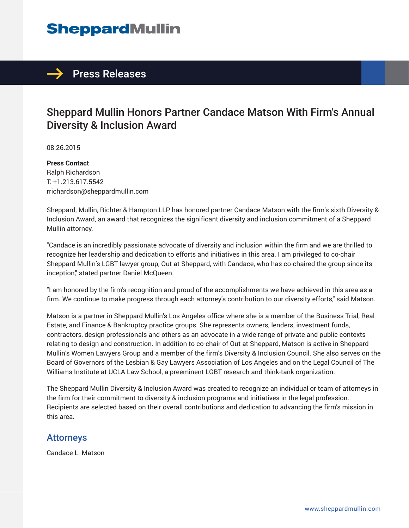# **SheppardMullin**

## $\rightarrow$  Press Releases

## Sheppard Mullin Honors Partner Candace Matson With Firm's Annual Diversity & Inclusion Award

08.26.2015

**Press Contact** Ralph Richardson T: +1.213.617.5542 rrichardson@sheppardmullin.com

Sheppard, Mullin, Richter & Hampton LLP has honored partner Candace Matson with the firm's sixth Diversity & Inclusion Award, an award that recognizes the significant diversity and inclusion commitment of a Sheppard Mullin attorney.

"Candace is an incredibly passionate advocate of diversity and inclusion within the firm and we are thrilled to recognize her leadership and dedication to efforts and initiatives in this area. I am privileged to co-chair Sheppard Mullin's LGBT lawyer group, Out at Sheppard, with Candace, who has co-chaired the group since its inception," stated partner Daniel McQueen.

"I am honored by the firm's recognition and proud of the accomplishments we have achieved in this area as a firm. We continue to make progress through each attorney's contribution to our diversity efforts," said Matson.

Matson is a partner in Sheppard Mullin's Los Angeles office where she is a member of the Business Trial, Real Estate, and Finance & Bankruptcy practice groups. She represents owners, lenders, investment funds, contractors, design professionals and others as an advocate in a wide range of private and public contexts relating to design and construction. In addition to co-chair of Out at Sheppard, Matson is active in Sheppard Mullin's Women Lawyers Group and a member of the firm's Diversity & Inclusion Council. She also serves on the Board of Governors of the Lesbian & Gay Lawyers Association of Los Angeles and on the Legal Council of The Williams Institute at UCLA Law School, a preeminent LGBT research and think-tank organization.

The Sheppard Mullin Diversity & Inclusion Award was created to recognize an individual or team of attorneys in the firm for their commitment to diversity & inclusion programs and initiatives in the legal profession. Recipients are selected based on their overall contributions and dedication to advancing the firm's mission in this area.

#### Attorneys

Candace L. Matson